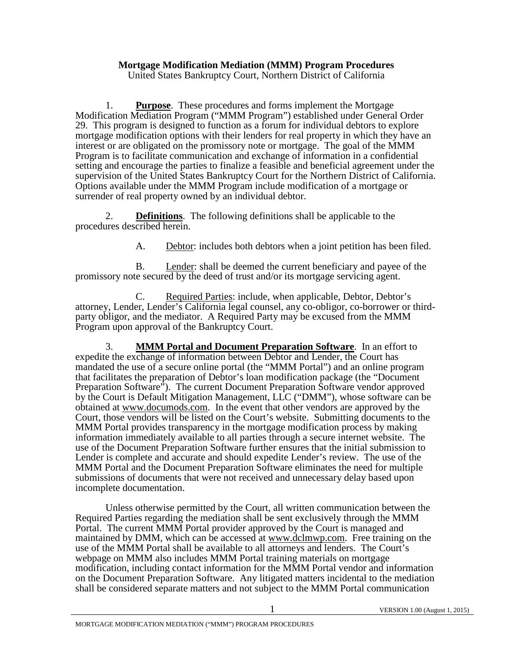## **Mortgage Modification Mediation (MMM) Program Procedures**

United States Bankruptcy Court, Northern District of California

1. **Purpose**. These procedures and forms implement the Mortgage Modification Mediation Program ("MMM Program") established under General Order 29. This program is designed to function as a forum for individual debtors to explore mortgage modification options with their lenders for real property in which they have an interest or are obligated on the promissory note or mortgage. The goal of the MMM Program is to facilitate communication and exchange of information in a confidential setting and encourage the parties to finalize a feasible and beneficial agreement under the supervision of the United States Bankruptcy Court for the Northern District of California. Options available under the MMM Program include modification of a mortgage or surrender of real property owned by an individual debtor.

 2. **Definitions**. The following definitions shall be applicable to the procedures described herein.

A. Debtor: includes both debtors when a joint petition has been filed.

B. Lender: shall be deemed the current beneficiary and payee of the promissory note secured by the deed of trust and/or its mortgage servicing agent.

C. Required Parties: include, when applicable, Debtor, Debtor's attorney, Lender, Lender's California legal counsel, any co-obligor, co-borrower or third- party obligor, and the mediator. A Required Party may be excused from the MMM Program upon approval of the Bankruptcy Court.

 3. **MMM Portal and Document Preparation Software**. In an effort to expedite the exchange of information between Debtor and Lender, the Court has mandated the use of a secure online portal (the "MMM Portal") and an online program that facilitates the preparation of Debtor's loan modification package (the "Document Preparation Software"). The current Document Preparation Software vendor approved by the Court is Default Mitigation Management, LLC ("DMM"), whose software can be obtained at www.documods.com. In the event that other vendors are approved by the Court, those vendors will be listed on the Court's website. Submitting documents to the MMM Portal provides transparency in the mortgage modification process by making information immediately available to all parties through a secure internet website. The use of the Document Preparation Software further ensures that the initial submission to Lender is complete and accurate and should expedite Lender's review. The use of the MMM Portal and the Document Preparation Software eliminates the need for multiple submissions of documents that were not received and unnecessary delay based upon incomplete documentation.

Unless otherwise permitted by the Court, all written communication between the Required Parties regarding the mediation shall be sent exclusively through the MMM Portal. The current MMM Portal provider approved by the Court is managed and maintained by DMM, which can be accessed at www.dclmwp.com. Free training on the use of the MMM Portal shall be available to all attorneys and lenders. The Court's webpage on MMM also includes MMM Portal training materials on mortgage modification, including contact information for the MMM Portal vendor and information on the Document Preparation Software. Any litigated matters incidental to the mediation shall be considered separate matters and not subject to the MMM Portal communication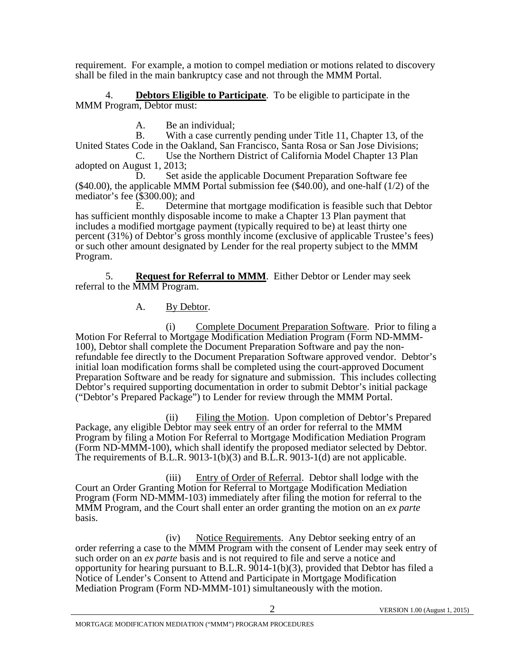requirement. For example, a motion to compel mediation or motions related to discovery shall be filed in the main bankruptcy case and not through the MMM Portal.

 4. **Debtors Eligible to Participate**. To be eligible to participate in the MMM Program, Debtor must:

 A. Be an individual; B. With a case currently pending under Title 11, Chapter 13, of the United States Code in the Oakland, San Francisco, Santa Rosa or San Jose Divisions; C. Use the Northern District of California Model Chapter 13 Plan

adopted on August 1, 2013;<br>D. Set as

Set aside the applicable Document Preparation Software fee (\$40.00), the applicable MMM Portal submission fee (\$40.00), and one-half (1/2) of the mediator's fee (\$300.00); and

 E. Determine that mortgage modification is feasible such that Debtor has sufficient monthly disposable income to make a Chapter 13 Plan payment that includes a modified mortgage payment (typically required to be) at least thirty one percent (31%) of Debtor's gross monthly income (exclusive of applicable Trustee's fees) or such other amount designated by Lender for the real property subject to the MMM Program.

 5. **Request for Referral to MMM**. Either Debtor or Lender may seek referral to the MMM Program.

# A. By Debtor.

 (i) Complete Document Preparation Software. Prior to filing a Motion For Referral to Mortgage Modification Mediation Program (Form ND-MMM- 100), Debtor shall complete the Document Preparation Software and pay the nonrefundable fee directly to the Document Preparation Software approved vendor. Debtor's initial loan modification forms shall be completed using the court-approved Document Preparation Software and be ready for signature and submission. This includes collecting Debtor's required supporting documentation in order to submit Debtor's initial package ("Debtor's Prepared Package") to Lender for review through the MMM Portal.

 (ii) Filing the Motion. Upon completion of Debtor's Prepared Package, any eligible Debtor may seek entry of an order for referral to the MMM Program by filing a Motion For Referral to Mortgage Modification Mediation Program (Form ND-MMM-100), which shall identify the proposed mediator selected by Debtor. The requirements of B.L.R. 9013-1(b)(3) and B.L.R. 9013-1(d) are not applicable.

(iii) Entry of Order of Referral. Debtor shall lodge with the Court an Order Granting Motion for Referral to Mortgage Modification Mediation Program (Form ND-MMM-103) immediately after filing the motion for referral to the MMM Program, and the Court shall enter an order granting the motion on an *ex parte* basis.

 (iv) Notice Requirements. Any Debtor seeking entry of an order referring a case to the MMM Program with the consent of Lender may seek entry of such order on an *ex parte* basis and is not required to file and serve a notice and opportunity for hearing pursuant to B.L.R.  $9014-1(b)(3)$ , provided that Debtor has filed a Notice of Lender's Consent to Attend and Participate in Mortgage Modification Mediation Program (Form ND-MMM-101) simultaneously with the motion.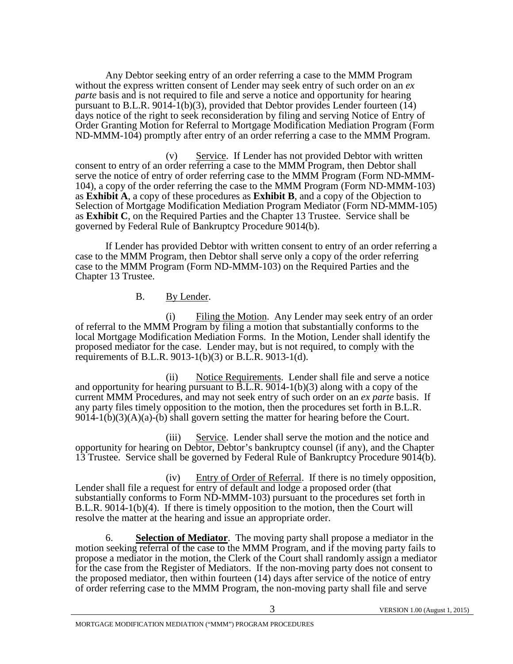Any Debtor seeking entry of an order referring a case to the MMM Program without the express written consent of Lender may seek entry of such order on an *ex parte* basis and is not required to file and serve a notice and opportunity for hearing pursuant to B.L.R. 9014-1(b)(3), provided that Debtor provides Lender fourteen  $(14)$ days notice of the right to seek reconsideration by filing and serving Notice of Entry of Order Granting Motion for Referral to Mortgage Modification Mediation Program (Form ND-MMM-104) promptly after entry of an order referring a case to the MMM Program.

 (v) Service. If Lender has not provided Debtor with written consent to entry of an order referring a case to the MMM Program, then Debtor shall serve the notice of entry of order referring case to the MMM Program (Form ND-MMM-104), a copy of the order referring the case to the MMM Program (Form ND-MMM-103) as **Exhibit A**, a copy of these procedures as **Exhibit B**, and a copy of the Objection to Selection of Mortgage Modification Mediation Program Mediator (Form ND-MMM-105) as **Exhibit C**, on the Required Parties and the Chapter 13 Trustee. Service shall be governed by Federal Rule of Bankruptcy Procedure 9014(b).

If Lender has provided Debtor with written consent to entry of an order referring a case to the MMM Program, then Debtor shall serve only a copy of the order referring case to the MMM Program (Form ND-MMM-103) on the Required Parties and the Chapter 13 Trustee.

B. By Lender.

 (i) Filing the Motion. Any Lender may seek entry of an order of referral to the MMM Program by filing a motion that substantially conforms to the local Mortgage Modification Mediation Forms. In the Motion, Lender shall identify the proposed mediator for the case. Lender may, but is not required, to comply with the requirements of B.L.R. 9013-1(b)(3) or B.L.R. 9013-1(d).

 (ii) Notice Requirements. Lender shall file and serve a notice and opportunity for hearing pursuant to  $\overline{B.L.R. 9014-1(b)(3)}$  along with a copy of the current MMM Procedures, and may not seek entry of such order on an *ex parte* basis. If any party files timely opposition to the motion, then the procedures set forth in B.L.R.  $9014-1(b)(3)(A)(a)$ -(b) shall govern setting the matter for hearing before the Court.

 (iii) Service. Lender shall serve the motion and the notice and opportunity for hearing on Debtor, Debtor's bankruptcy counsel (if any), and the Chapter 13 Trustee. Service shall be governed by Federal Rule of Bankruptcy Procedure 9014(b).

 (iv) Entry of Order of Referral. If there is no timely opposition, Lender shall file a request for entry of default and lodge a proposed order (that substantially conforms to Form ND-MMM-103) pursuant to the procedures set forth in B.L.R. 9014-1(b)(4). If there is timely opposition to the motion, then the Court will resolve the matter at the hearing and issue an appropriate order.

6. **Selection of Mediator**. The moving party shall propose a mediator in the motion seeking referral of the case to the MMM Program, and if the moving party fails to propose a mediator in the motion, the Clerk of the Court shall randomly assign a mediator for the case from the Register of Mediators. If the non-moving party does not consent to the proposed mediator, then within fourteen (14) days after service of the notice of entry of order referring case to the MMM Program, the non-moving party shall file and serve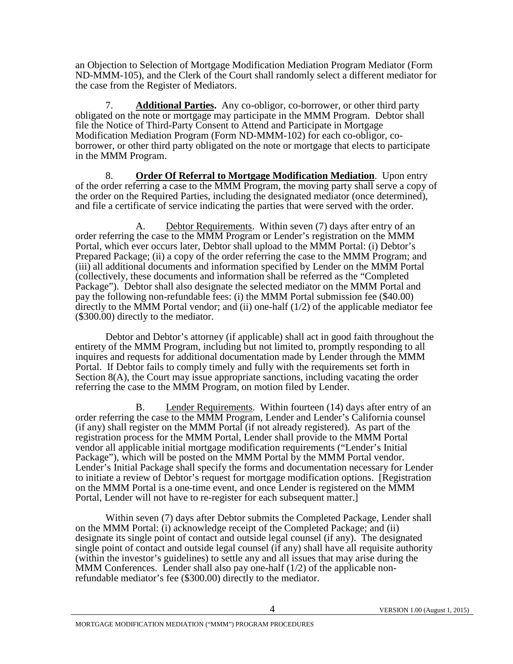an Objection to Selection of Mortgage Modification Mediation Program Mediator (Form ND-MMM-105), and the Clerk of the Court shall randomly select a different mediator for the case from the Register of Mediators.

 7. **Additional Parties.** Any co-obligor, co-borrower, or other third party obligated on the note or mortgage may participate in the MMM Program. Debtor shall file the Notice of Third-Party Consent to Attend and Participate in Mortgage Modification Mediation Program (Form ND-MMM-102) for each co-obligor, coborrower, or other third party obligated on the note or mortgage that elects to participate in the MMM Program.

 8. **Order Of Referral to Mortgage Modification Mediation**. Upon entry of the order referring a case to the MMM Program, the moving party shall serve a copy of the order on the Required Parties, including the designated mediator (once determined), and file a certificate of service indicating the parties that were served with the order.

 A. Debtor Requirements. Within seven (7) days after entry of an order referring the case to the MMM Program or Lender's registration on the MMM Portal, which ever occurs later, Debtor shall upload to the MMM Portal: (i) Debtor's Prepared Package; (ii) a copy of the order referring the case to the MMM Program; and (iii) all additional documents and information specified by Lender on the MMM Portal (collectively, these documents and information shall be referred as the "Completed Package"). Debtor shall also designate the selected mediator on the MMM Portal and pay the following non-refundable fees: (i) the MMM Portal submission fee (\$40.00) directly to the MMM Portal vendor; and (ii) one-half  $(1/2)$  of the applicable mediator fee (\$300.00) directly to the mediator.

 Debtor and Debtor's attorney (if applicable) shall act in good faith throughout the entirety of the MMM Program, including but not limited to, promptly responding to all inquires and requests for additional documentation made by Lender through the MMM Portal. If Debtor fails to comply timely and fully with the requirements set forth in Section 8(A), the Court may issue appropriate sanctions, including vacating the order referring the case to the MMM Program, on motion filed by Lender.

B. Lender Requirements. Within fourteen (14) days after entry of an order referring the case to the MMM Program, Lender and Lender's California counsel (if any) shall register on the MMM Portal (if not already registered). As part of the registration process for the MMM Portal, Lender shall provide to the MMM Portal vendor all applicable initial mortgage modification requirements ("Lender's Initial Package"), which will be posted on the MMM Portal by the MMM Portal vendor. Lender's Initial Package shall specify the forms and documentation necessary for Lender to initiate a review of Debtor's request for mortgage modification options. [Registration on the MMM Portal is a one-time event, and once Lender is registered on the MMM Portal, Lender will not have to re-register for each subsequent matter.]

 Within seven (7) days after Debtor submits the Completed Package, Lender shall on the MMM Portal: (i) acknowledge receipt of the Completed Package; and (ii) designate its single point of contact and outside legal counsel (if any). The designated single point of contact and outside legal counsel (if any) shall have all requisite authority (within the investor's guidelines) to settle any and all issues that may arise during the MMM Conferences. Lender shall also pay one-half  $(1/2)$  of the applicable nonrefundable mediator's fee (\$300.00) directly to the mediator.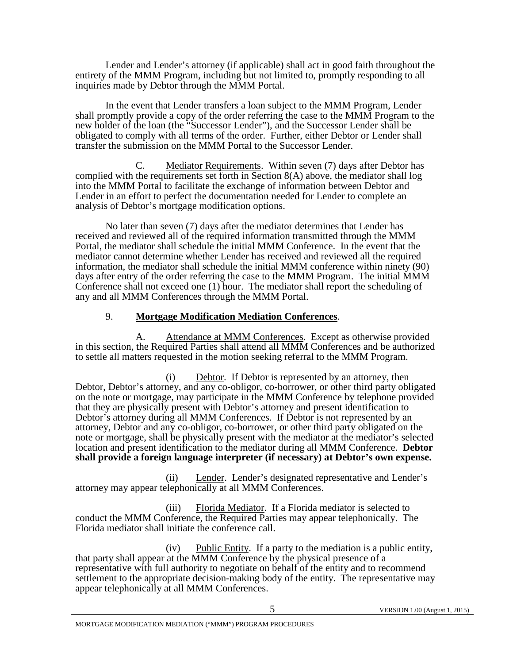Lender and Lender's attorney (if applicable) shall act in good faith throughout the entirety of the MMM Program, including but not limited to, promptly responding to all inquiries made by Debtor through the MMM Portal.

 In the event that Lender transfers a loan subject to the MMM Program, Lender shall promptly provide a copy of the order referring the case to the MMM Program to the new holder of the loan (the "Successor Lender"), and the Successor Lender shall be obligated to comply with all terms of the order. Further, either Debtor or Lender shall transfer the submission on the MMM Portal to the Successor Lender.

 C. Mediator Requirements. Within seven (7) days after Debtor has complied with the requirements set forth in Section 8(A) above, the mediator shall log into the MMM Portal to facilitate the exchange of information between Debtor and Lender in an effort to perfect the documentation needed for Lender to complete an analysis of Debtor's mortgage modification options.

No later than seven (7) days after the mediator determines that Lender has received and reviewed all of the required information transmitted through the MMM Portal, the mediator shall schedule the initial MMM Conference. In the event that the mediator cannot determine whether Lender has received and reviewed all the required information, the mediator shall schedule the initial MMM conference within ninety (90) days after entry of the order referring the case to the MMM Program. The initial MMM Conference shall not exceed one (1) hour. The mediator shall report the scheduling of any and all MMM Conferences through the MMM Portal.

## 9. **Mortgage Modification Mediation Conferences**.

 A. Attendance at MMM Conferences. Except as otherwise provided in this section, the Required Parties shall attend all MMM Conferences and be authorized to settle all matters requested in the motion seeking referral to the MMM Program.

 (i) Debtor. If Debtor is represented by an attorney, then Debtor, Debtor's attorney, and any co-obligor, co-borrower, or other third party obligated on the note or mortgage, may participate in the MMM Conference by telephone provided that they are physically present with Debtor's attorney and present identification to Debtor's attorney during all MMM Conferences. If Debtor is not represented by an attorney, Debtor and any co-obligor, co-borrower, or other third party obligated on the note or mortgage, shall be physically present with the mediator at the mediator's selected location and present identification to the mediator during all MMM Conference. **Debtor shall provide a foreign language interpreter (if necessary) at Debtor's own expense.**

 (ii) Lender. Lender's designated representative and Lender's attorney may appear telephonically at all MMM Conferences.

 (iii) Florida Mediator. If a Florida mediator is selected to conduct the MMM Conference, the Required Parties may appear telephonically. The Florida mediator shall initiate the conference call.

 (iv) Public Entity. If a party to the mediation is a public entity, that party shall appear at the MMM Conference by the physical presence of a representative with full authority to negotiate on behalf of the entity and to recommend settlement to the appropriate decision-making body of the entity. The representative may appear telephonically at all MMM Conferences.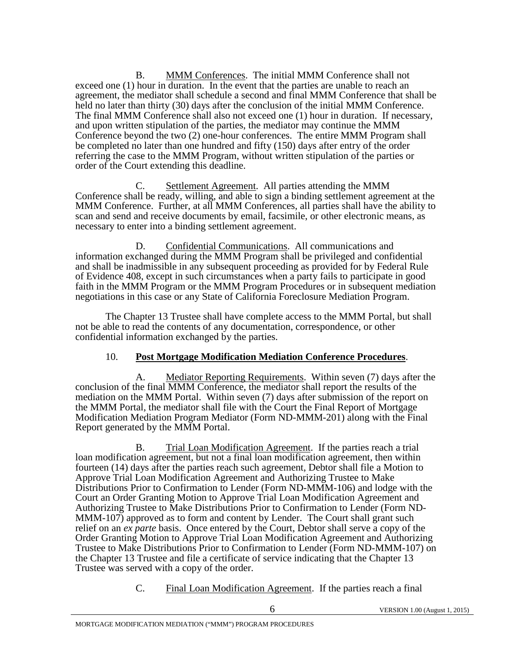B. MMM Conferences. The initial MMM Conference shall not exceed one (1) hour in duration. In the event that the parties are unable to reach an agreement, the mediator shall schedule a second and final MMM Conference that shall be held no later than thirty (30) days after the conclusion of the initial MMM Conference. The final MMM Conference shall also not exceed one (1) hour in duration. If necessary, and upon written stipulation of the parties, the mediator may continue the MMM Conference beyond the two (2) one-hour conferences. The entire MMM Program shall be completed no later than one hundred and fifty (150) days after entry of the order referring the case to the MMM Program, without written stipulation of the parties or order of the Court extending this deadline.

 C. Settlement Agreement. All parties attending the MMM Conference shall be ready, willing, and able to sign a binding settlement agreement at the MMM Conference. Further, at all MMM Conferences, all parties shall have the ability to scan and send and receive documents by email, facsimile, or other electronic means, as necessary to enter into a binding settlement agreement.

 D. Confidential Communications. All communications and information exchanged during the MMM Program shall be privileged and confidential and shall be inadmissible in any subsequent proceeding as provided for by Federal Rule of Evidence 408, except in such circumstances when a party fails to participate in good faith in the MMM Program or the MMM Program Procedures or in subsequent mediation negotiations in this case or any State of California Foreclosure Mediation Program.

 The Chapter 13 Trustee shall have complete access to the MMM Portal, but shall not be able to read the contents of any documentation, correspondence, or other confidential information exchanged by the parties.

## 10. **Post Mortgage Modification Mediation Conference Procedures**.

A. Mediator Reporting Requirements. Within seven (7) days after the conclusion of the final MMM Conference, the mediator shall report the results of the mediation on the MMM Portal. Within seven (7) days after submission of the report on the MMM Portal, the mediator shall file with the Court the Final Report of Mortgage Modification Mediation Program Mediator (Form ND-MMM-201) along with the Final Report generated by the MMM Portal.

 B. Trial Loan Modification Agreement. If the parties reach a trial loan modification agreement, but not a final loan modification agreement, then within fourteen (14) days after the parties reach such agreement, Debtor shall file a Motion to Approve Trial Loan Modification Agreement and Authorizing Trustee to Make Distributions Prior to Confirmation to Lender (Form ND-MMM-106) and lodge with the Court an Order Granting Motion to Approve Trial Loan Modification Agreement and MMM-107) approved as to form and content by Lender. The Court shall grant such relief on an *ex parte* basis. Once entered by the Court, Debtor shall serve a copy of the Order Granting Motion to Approve Trial Loan Modification Agreement and Authorizing Trustee to Make Distributions Prior to Confirmation to Lender (Form ND-MMM-107) on the Chapter 13 Trustee and file a certificate of service indicating that the Chapter 13 Trustee was served with a copy of the order.

C. Final Loan Modification Agreement. If the parties reach a final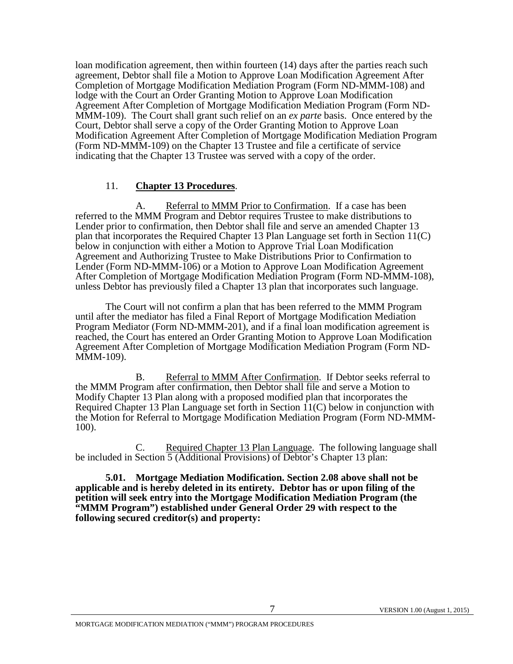loan modification agreement, then within fourteen (14) days after the parties reach such agreement, Debtor shall file a Motion to Approve Loan Modification Agreement After Completion of Mortgage Modification Mediation Program (Form ND-MMM-108) and lodge with the Court an Order Granting Motion to Approve Loan Modification<br>Agreement After Completion of Mortgage Modification Mediation Program (Form ND-MMM-109). The Court shall grant such relief on an *ex parte* basis. Once entered by the Court, Debtor shall serve a copy of the Order Granting Motion to Approve Loan Modification Agreement After Completion of Mortgage Modification Mediation Program (Form ND-MMM-109) on the Chapter 13 Trustee and file a certificate of service indicating that the Chapter 13 Trustee was served with a copy of the order.

### 11. **Chapter 13 Procedures**.

 A. Referral to MMM Prior to Confirmation. If a case has been referred to the MMM Program and Debtor requires Trustee to make distributions to Lender prior to confirmation, then Debtor shall file and serve an amended Chapter 13 plan that incorporates the Required Chapter 13 Plan Language set forth in Section  $11(C)$ below in conjunction with either a Motion to Approve Trial Loan Modification Agreement and Authorizing Trustee to Make Distributions Prior to Confirmation to Lender (Form ND-MMM-106) or a Motion to Approve Loan Modification Agreement After Completion of Mortgage Modification Mediation Program (Form ND-MMM-108), unless Debtor has previously filed a Chapter 13 plan that incorporates such language.

The Court will not confirm a plan that has been referred to the MMM Program until after the mediator has filed a Final Report of Mortgage Modification Mediation Program Mediator (Form ND-MMM-201), and if a final loan modification agreement is reached, the Court has entered an Order Granting Motion to Approve Loan Modification Agreement After Completion of Mortgage Modification Mediation Program (Form ND- MMM-109).

B. Referral to MMM After Confirmation. If Debtor seeks referral to the MMM Program after confirmation, then Debtor shall file and serve a Motion to Modify Chapter 13 Plan along with a proposed modified plan that incorporates the Required Chapter 13 Plan Language set forth in Section  $11(C)$  below in conjunction with the Motion for Referral to Mortgage Modification Mediation Program (Form ND-MMM- 100).

 C. Required Chapter 13 Plan Language. The following language shall be included in Section 5 (Additional Provisions) of Debtor's Chapter 13 plan:

**5.01. Mortgage Mediation Modification. Section 2.08 above shall not be applicable and is hereby deleted in its entirety. Debtor has or upon filing of the petition will seek entry into the Mortgage Modification Mediation Program (the "MMM Program") established under General Order 29 with respect to the following secured creditor(s) and property:**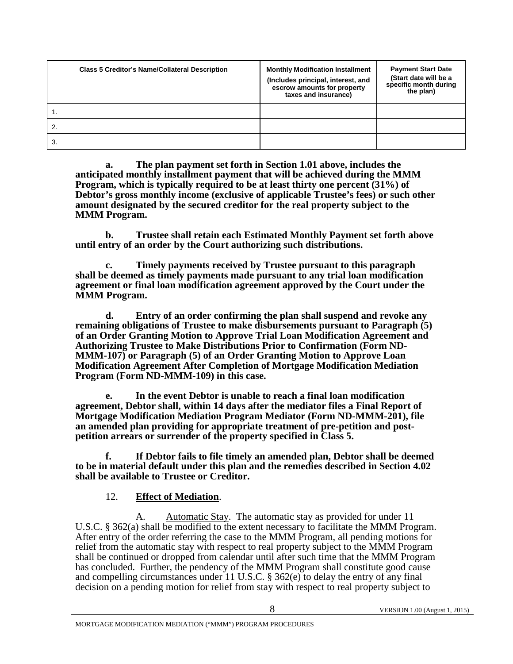| <b>Class 5 Creditor's Name/Collateral Description</b> | <b>Monthly Modification Installment</b><br>(Includes principal, interest, and<br>escrow amounts for property<br>taxes and insurance) | <b>Payment Start Date</b><br>(Start date will be a<br>specific month during<br>the plan) |
|-------------------------------------------------------|--------------------------------------------------------------------------------------------------------------------------------------|------------------------------------------------------------------------------------------|
|                                                       |                                                                                                                                      |                                                                                          |
|                                                       |                                                                                                                                      |                                                                                          |
| 3.                                                    |                                                                                                                                      |                                                                                          |

**a. The plan payment set forth in Section 1.01 above, includes the anticipated monthly installment payment that will be achieved during the MMM Program, which is typically required to be at least thirty one percent (31%) of Debtor's gross monthly income (exclusive of applicable Trustee's fees) or such other amount designated by the secured creditor for the real property subject to the MMM Program.** 

**b. Trustee shall retain each Estimated Monthly Payment set forth above until entry of an order by the Court authorizing such distributions.**

**c. Timely payments received by Trustee pursuant to this paragraph shall be deemed as timely payments made pursuant to any trial loan modification agreement or final loan modification agreement approved by the Court under the MMM Program.**

**d. Entry of an order confirming the plan shall suspend and revoke any remaining obligations of Trustee to make disbursements pursuant to Paragraph (5) of an Order Granting Motion to Approve Trial Loan Modification Agreement and Authorizing Trustee to Make Distributions Prior to Confirmation (Form ND-MMM-107) or Paragraph (5) of an Order Granting Motion to Approve Loan Modification Agreement After Completion of Mortgage Modification Mediation Program (Form ND-MMM-109) in this case.**

**e. In the event Debtor is unable to reach a final loan modification agreement, Debtor shall, within 14 days after the mediator files a Final Report of Mortgage Modification Mediation Program Mediator (Form ND-MMM-201), file an amended plan providing for appropriate treatment of pre-petition and postpetition arrears or surrender of the property specified in Class 5.**

**f. If Debtor fails to file timely an amended plan, Debtor shall be deemed to be in material default under this plan and the remedies described in Section 4.02 shall be available to Trustee or Creditor.**

### 12. **Effect of Mediation**.

 A. Automatic Stay. The automatic stay as provided for under 11 U.S.C. § 362(a) shall be modified to the extent necessary to facilitate the MMM Program. After entry of the order referring the case to the MMM Program, all pending motions for relief from the automatic stay with respect to real property subject to the MMM Program shall be continued or dropped from calendar until after such time that the MMM Program has concluded. Further, the pendency of the MMM Program shall constitute good cause and compelling circumstances under 11 U.S.C. § 362(e) to delay the entry of any final decision on a pending motion for relief from stay with respect to real property subject to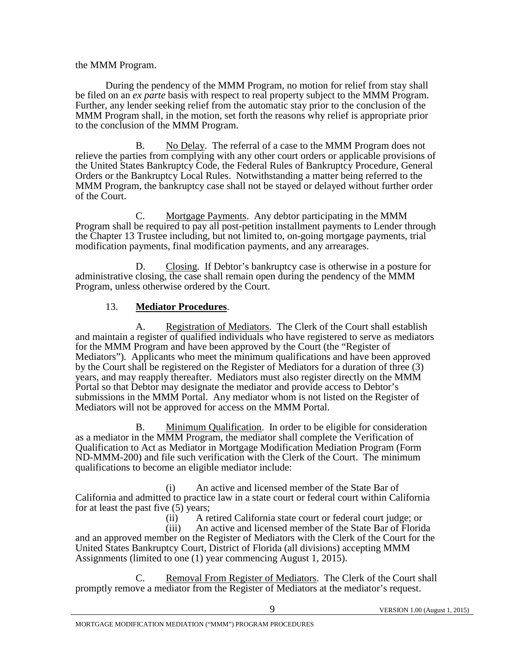#### the MMM Program.

During the pendency of the MMM Program, no motion for relief from stay shall be filed on an *ex parte* basis with respect to real property subject to the MMM Program. Further, any lender seeking relief from the automatic stay prior to the conclusion of the MMM Program shall, in the motion, set forth the reasons why relief is appropriate prior to the conclusion of the MMM Program.

 B. No Delay. The referral of a case to the MMM Program does not relieve the parties from complying with any other court orders or applicable provisions of the United States Bankruptcy Code, the Federal Rules of Bankruptcy Procedure, General Orders or the Bankruptcy Local Rules. Notwithstanding a matter being referred to the MMM Program, the bankruptcy case shall not be stayed or delayed without further order of the Court.

 C. Mortgage Payments. Any debtor participating in the MMM Program shall be required to pay all post-petition installment payments to Lender through the Chapter 13 Trustee including, but not limited to, on-going mortgage payments, trial modification payments, final modification payments, and any arrearages.

 D. Closing. If Debtor's bankruptcy case is otherwise in a posture for administrative closing, the case shall remain open during the pendency of the MMM Program, unless otherwise ordered by the Court.

### 13. **Mediator Procedures**.

A. Registration of Mediators. The Clerk of the Court shall establish and maintain a register of qualified individuals who have registered to serve as mediators for the MMM Program and have been approved by the Court (the "Register of Mediators"). Applicants who meet the minimum qualifications and have been approved by the Court shall be registered on the Register of Mediators for a duration of three (3) years, and may reapply thereafter. Mediators must also register directly on the MMM Portal so that Debtor may designate the mediator and provide access to Debtor's submissions in the MMM Portal. Any mediator whom is not listed on the Register of Mediators will not be approved for access on the MMM Portal.

B. Minimum Qualification. In order to be eligible for consideration as a mediator in the MMM Program, the mediator shall complete the Verification of Qualification to Act as Mediator in Mortgage Modification Mediation Program (Form ND-MMM-200) and file such verification with the Clerk of the Court. The minimum qualifications to become an eligible mediator include:

 (i) An active and licensed member of the State Bar of California and admitted to practice law in a state court or federal court within California for at least the past five (5) years;

 (ii) A retired California state court or federal court judge; or (iii) An active and licensed member of the State Bar of Florida and an approved member on the Register of Mediators with the Clerk of the Court for the United States Bankruptcy Court, District of Florida (all divisions) accepting MMM Assignments (limited to one (1) year commencing August 1, 2015).

 C. Removal From Register of Mediators. The Clerk of the Court shall promptly remove a mediator from the Register of Mediators at the mediator's request.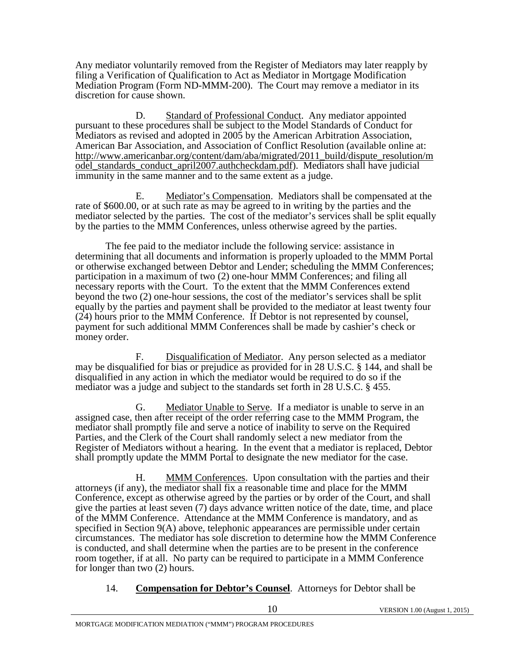Any mediator voluntarily removed from the Register of Mediators may later reapply by filing a Verification of Qualification to Act as Mediator in Mortgage Modification Mediation Program (Form ND-MMM-200). The Court may remove a mediator in its discretion for cause shown.

 D. Standard of Professional Conduct. Any mediator appointed pursuant to these procedures shall be subject to the Model Standards of Conduct for Mediators as revised and adopted in 2005 by the American Arbitration Association, American Bar Association, and Association of Conflict Resolution (available online at: http://www.americanbar.org/content/dam/aba/migrated/2011\_build/dispute\_resolution/m odel\_standards\_conduct\_april2007.authcheckdam.pdf). Mediators shall have judicial immunity in the same manner and to the same extent as a judge.

 E. Mediator's Compensation. Mediators shall be compensated at the rate of \$600.00, or at such rate as may be agreed to in writing by the parties and the mediator selected by the parties. The cost of the mediator's services shall be split equally by the parties to the MMM Conferences, unless otherwise agreed by the parties.

The fee paid to the mediator include the following service: assistance in determining that all documents and information is properly uploaded to the MMM Portal or otherwise exchanged between Debtor and Lender; scheduling the MMM Conferences; participation in a maximum of two (2) one-hour MMM Conferences; and filing all necessary reports with the Court. To the extent that the MMM Conferences extend beyond the two (2) one-hour sessions, the cost of the mediator's services shall be split equally by the parties and payment shall be provided to the mediator at least twenty four (24) hours prior to the MMM Conference. If Debtor is not represented by counsel, payment for such additional MMM Conferences shall be made by cashier's check or money order.

 F. Disqualification of Mediator. Any person selected as a mediator may be disqualified for bias or prejudice as provided for in 28 U.S.C. § 144, and shall be disqualified in any action in which the mediator would be required to do so if the mediator was a judge and subject to the standards set forth in 28 U.S.C. § 455.

 G. Mediator Unable to Serve. If a mediator is unable to serve in an assigned case, then after receipt of the order referring case to the MMM Program, the mediator shall promptly file and serve a notice of inability to serve on the Required Parties, and the Clerk of the Court shall randomly select a new mediator from the Register of Mediators without a hearing. In the event that a mediator is replaced, Debtor shall promptly update the MMM Portal to designate the new mediator for the case.

 H. MMM Conferences. Upon consultation with the parties and their attorneys (if any), the mediator shall fix a reasonable time and place for the MMM Conference, except as otherwise agreed by the parties or by order of the Court, and shall give the parties at least seven (7) days advance written notice of the date, time, and place of the MMM Conference. Attendance at the MMM Conference is mandatory, and as specified in Section 9(A) above, telephonic appearances are permissible under certain circumstances. The mediator has sole discretion to determine how the MMM Conference is conducted, and shall determine when the parties are to be present in the conference room together, if at all. No party can be required to participate in a MMM Conference for longer than two (2) hours.

14. **Compensation for Debtor's Counsel**. Attorneys for Debtor shall be